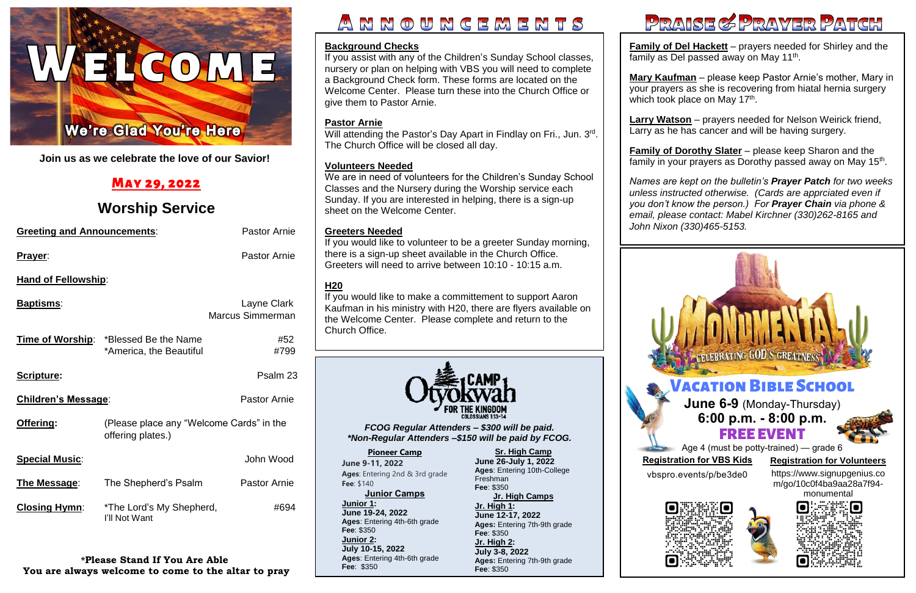

**Join us as we celebrate the love of our Savior!**

# May 29, 2022

# **Worship Service**

 **Family of Dorothy Slater** – please keep Sharon and the family in your prayers as Dorothy passed away on May 15<sup>th</sup>.

| <b>Greeting and Announcements:</b> |                                                                         | <b>Pastor Arnie</b>                    |
|------------------------------------|-------------------------------------------------------------------------|----------------------------------------|
| <b>Prayer:</b>                     |                                                                         | <b>Pastor Arnie</b>                    |
| <b>Hand of Fellowship:</b>         |                                                                         |                                        |
| <u>Baptisms:</u>                   |                                                                         | Layne Clark<br><b>Marcus Simmerman</b> |
|                                    | <b>Time of Worship:</b> *Blessed Be the Name<br>*America, the Beautiful | #52<br>#799                            |
| Scripture:                         |                                                                         | Psalm 23                               |
| <b>Children's Message:</b>         |                                                                         | <b>Pastor Arnie</b>                    |
| Offering:                          | (Please place any "Welcome Cards" in the<br>offering plates.)           |                                        |
| <b>Special Music:</b>              |                                                                         | John Wood                              |
| <u>The Message:</u>                | The Shepherd's Psalm                                                    | <b>Pastor Arnie</b>                    |
| <b>Closing Hymn:</b>               | *The Lord's My Shepherd,<br>I'll Not Want                               | #694                                   |

**Family of Del Hackett** – prayers needed for Shirley and the family as Del passed away on May 11<sup>th</sup>.

**Mary Kaufman** – please keep Pastor Arnie's mother, Mary in your prayers as she is recovering from hiatal hernia surgery which took place on May 17<sup>th</sup>.

**\*Please Stand If You Are Able You are always welcome to come to the altar to pray**

# NNOUNCEMENTS

Will attending the Pastor's Day Apart in Findlay on Fri., Jun. 3rd. The Church Office will be closed all day.

**Larry Watson** – prayers needed for Nelson Weirick friend, Larry as he has cancer and will be having surgery.

 *Names are kept on the bulletin's Prayer Patch for two weeks you don't know the person.) For Prayer Chain via phone & unless instructed otherwise. (Cards are apprciated even if email, please contact: Mabel Kirchner (330)262-8165 and John Nixon (330)465-5153.*

### **Background Checks**

If you assist with any of the Children's Sunday School classes, nursery or plan on helping with VBS you will need to complete a Background Check form. These forms are located on the Welcome Center. Please turn these into the Church Office or give them to Pastor Arnie.

### *FCOG Regular Attenders – \$300 will be paid. \*Non-Regular Attenders –\$150 will be paid by FCOG.*

### **Pastor Arnie**

### **Volunteers Needed**





# PRAISE & PRAYER PATCH

We are in need of volunteers for the Children's Sunday School Classes and the Nursery during the Worship service each Sunday. If you are interested in helping, there is a sign-up sheet on the Welcome Center.

### **Greeters Needed**

If you would like to volunteer to be a greeter Sunday morning, there is a sign-up sheet available in the Church Office. Greeters will need to arrive between 10:10 - 10:15 a.m.

### **H20**

If you would like to make a committement to support Aaron Kaufman in his ministry with H20, there are flyers available on the Welcome Center. Please complete and return to the Church Office.



**[Pioneer Camp](https://www.otyokwah.org/) June 9-11, 2022 Ages**: Entering 2nd & 3rd grade **Fee**: \$140

#### **Junior Camps Junior 1: June 19-24, 2022 Ages**: Entering 4th-6th grade **Fee**: \$350 **Junior 2: July 10-15, 2022 Ages**: Entering 4th-6th grade **Fee**: \$350

**Sr. High Camp June 26-July 1, 2022 Ages**: Entering 10th-College Freshman **Fee**: \$350 **Jr. High Camps Jr. High 1: June 12-17, 2022 Ages:** Entering 7th-9th grade **Fee**: \$350

**Jr. High 2: July 3-8, 2022 Ages:** Entering 7th-9th grade **Fee**: \$350

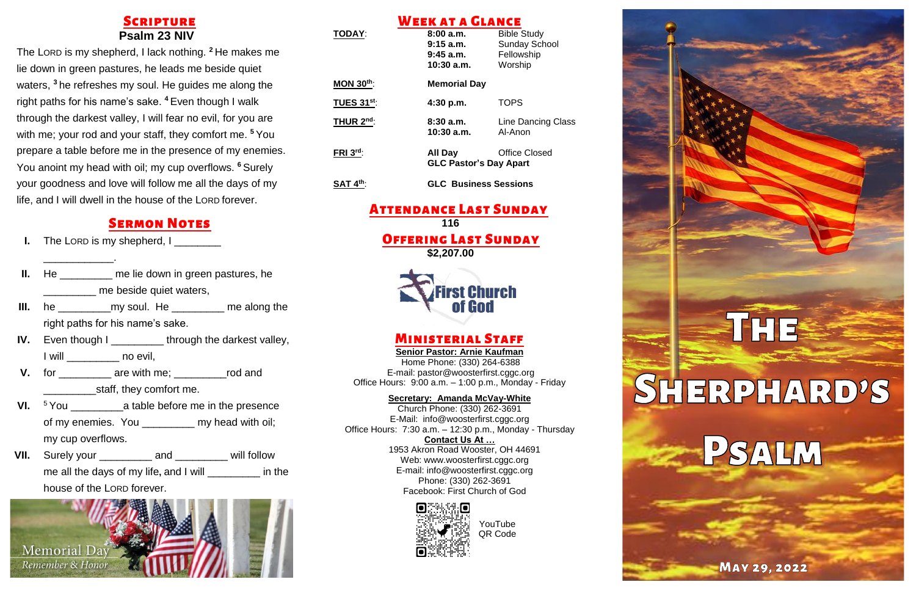# **SCRIPTURE Psalm 23 NIV**

The LORD is my shepherd, I lack nothing. **<sup>2</sup>** He makes me lie down in green pastures, he leads me beside quiet waters, **<sup>3</sup>** he refreshes my soul. He guides me along the right paths for his name's sake. **<sup>4</sup>** Even though I walk through the darkest valley, I will fear no evil, for you are with me; your rod and your staff, they comfort me. **<sup>5</sup>** You prepare a table before me in the presence of my enemies. You anoint my head with oil; my cup overflows. **<sup>6</sup>** Surely your goodness and love will follow me all the days of my life, and I will dwell in the house of the LORD forever.

# **SERMON NOTES**

The LORD is my shepherd, I \_\_\_\_\_\_\_\_

\_\_\_\_\_\_\_\_\_\_\_\_.

- **II.** He \_\_\_\_\_\_\_\_\_ me lie down in green pastures, he \_\_\_\_\_\_\_\_\_ me beside quiet waters,
- **III.** he \_\_\_\_\_\_\_\_\_\_\_\_\_\_my soul. He \_\_\_\_\_\_\_\_\_\_\_\_ me along the right paths for his name's sake.
- **IV.** Even though I \_\_\_\_\_\_\_\_\_ through the darkest valley, I will no evil,
- **V.** for \_\_\_\_\_\_\_\_\_\_\_\_\_ are with me; \_\_\_\_\_\_\_\_\_\_\_\_\_\_rod and **Example 1** staff, they comfort me.
- **VI.** <sup>5</sup> You a table before me in the presence of my enemies. You \_\_\_\_\_\_\_\_\_\_ my head with oil; my cup overflows.
- **VII.** Surely your \_\_\_\_\_\_\_\_\_ and \_\_\_\_\_\_\_ will follow me all the days of my life**,** and I will \_\_\_\_\_\_\_\_\_ in the house of the LORD forever.



### Week at a Glance **TODAY**: **8:00 a.m.** Bible Study **9:15 a.m.** Sunday School **9:45 a.m.** Fellowship **10:30 a.m.** Worship **MON 30th**: **Memorial Day TUES 31st**: **4:30 p.m.** TOPS **THUR 2 8:30 a.m.** Line Dancing Class **10:30 a.m.** Al-Anon **FRI 3 All Day Office Closed GLC Pastor's Day Apart SAT 4th**: **GLC Business Sessions**

## Attendance Last Sunday **116**

## Offering Last Sunday **\$2,207.00**



# Ministerial Staff

**Senior Pastor: Arnie Kaufman** Home Phone: (330) 264-6388 E-mail: [pastor@woosterfirst.cggc.org](mailto:pastor@woosterfirst.cggc.org) Office Hours: 9:00 a.m. – 1:00 p.m., Monday - Friday

#### **Secretary: Amanda McVay-White**

Church Phone: (330) 262-3691 E-Mail: info@woosterfirst.cggc.org Office Hours: 7:30 a.m. – 12:30 p.m., Monday - Thursday **Contact Us At …**

1953 Akron Road Wooster, OH 44691 Web: [www.woosterfirst.cggc.org](http://www.woosterfirst.cggc.org/) E-mail: info@woosterfirst.cggc.org Phone: (330) 262-3691 Facebook: First Church of God





**MAY 29, 2022** 

į

YouTube QR Code

# ŕ

Ę

ì

ś

š

I

Į

ś

THE